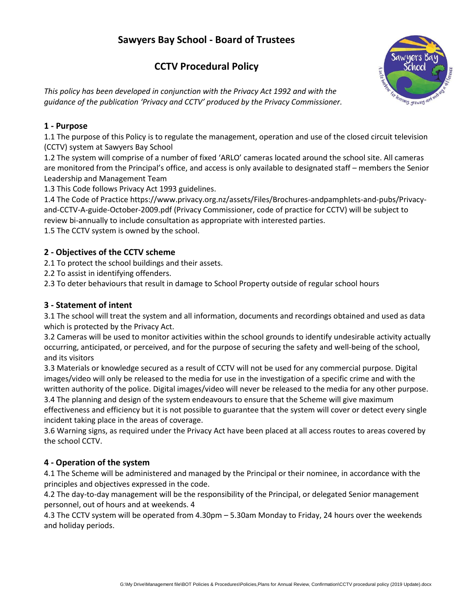# **Sawyers Bay School - Board of Trustees**

## **CCTV Procedural Policy**

*This policy has been developed in conjunction with the Privacy Act 1992 and with the guidance of the publication 'Privacy and CCTV' produced by the Privacy Commissioner.*



## **1 - Purpose**

1.1 The purpose of this Policy is to regulate the management, operation and use of the closed circuit television (CCTV) system at Sawyers Bay School

1.2 The system will comprise of a number of fixed 'ARLO' cameras located around the school site. All cameras are monitored from the Principal's office, and access is only available to designated staff – members the Senior Leadership and Management Team

1.3 This Code follows Privacy Act 1993 guidelines.

1.4 The Code of Practice https://www.privacy.org.nz/assets/Files/Brochures-andpamphlets-and-pubs/Privacyand-CCTV-A-guide-October-2009.pdf (Privacy Commissioner, code of practice for CCTV) will be subject to review bi-annually to include consultation as appropriate with interested parties.

1.5 The CCTV system is owned by the school.

#### **2 - Objectives of the CCTV scheme**

2.1 To protect the school buildings and their assets.

2.2 To assist in identifying offenders.

2.3 To deter behaviours that result in damage to School Property outside of regular school hours

#### **3 - Statement of intent**

3.1 The school will treat the system and all information, documents and recordings obtained and used as data which is protected by the Privacy Act.

3.2 Cameras will be used to monitor activities within the school grounds to identify undesirable activity actually occurring, anticipated, or perceived, and for the purpose of securing the safety and well-being of the school, and its visitors

3.3 Materials or knowledge secured as a result of CCTV will not be used for any commercial purpose. Digital images/video will only be released to the media for use in the investigation of a specific crime and with the written authority of the police. Digital images/video will never be released to the media for any other purpose.

3.4 The planning and design of the system endeavours to ensure that the Scheme will give maximum effectiveness and efficiency but it is not possible to guarantee that the system will cover or detect every single incident taking place in the areas of coverage.

3.6 Warning signs, as required under the Privacy Act have been placed at all access routes to areas covered by the school CCTV.

#### **4 - Operation of the system**

4.1 The Scheme will be administered and managed by the Principal or their nominee, in accordance with the principles and objectives expressed in the code.

4.2 The day-to-day management will be the responsibility of the Principal, or delegated Senior management personnel, out of hours and at weekends. 4

4.3 The CCTV system will be operated from 4.30pm – 5.30am Monday to Friday, 24 hours over the weekends and holiday periods.